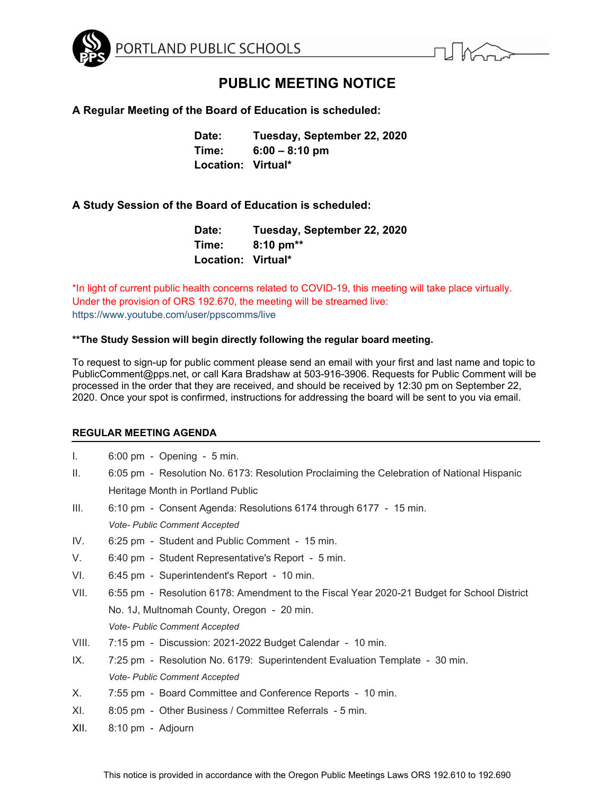

# **PUBLIC MEETING NOTICE**

# **A Regular Meeting of the Board of Education is scheduled:**

**Date: Tuesday, September 22, 2020 Time: 6:00 – 8:10 pm Location: Virtual\*** 

# **A Study Session of the Board of Education is scheduled:**

**Date: Tuesday, September 22, 2020 Time: 8:10 pm\*\* Location: Virtual\*** 

\*In light of current public health concerns related to COVID-19, this meeting will take place virtually. Under the provision of ORS 192.670, the meeting will be streamed live: https://www.youtube.com/user/ppscomms/live

## **\*\*The Study Session will begin directly following the regular board meeting.**

To request to sign-up for public comment please send an email with your first and last name and topic to PublicComment@pps.net, or call Kara Bradshaw at 503-916-3906. Requests for Public Comment will be processed in the order that they are received, and should be received by 12:30 pm on September 22, 2020. Once your spot is confirmed, instructions for addressing the board will be sent to you via email.

## **REGULAR MEETING AGENDA**

- I. 6:00 pm Opening 5 min.
- II. 6:05 pm Resolution No. 6173: Resolution Proclaiming the Celebration of National Hispanic Heritage Month in Portland Public
- III. 6:10 pm Consent Agenda: Resolutions 6174 through 6177 15 min. *Vote- Public Comment Accepted*
- IV. 6:25 pm Student and Public Comment 15 min.
- V. 6:40 pm Student Representative's Report 5 min.
- VI. 6:45 pm Superintendent's Report 10 min.
- VII. 6:55 pm Resolution 6178: Amendment to the Fiscal Year 2020-21 Budget for School District No. 1J, Multnomah County, Oregon - 20 min. *Vote- Public Comment Accepted*
- VIII. 7:15 pm Discussion: 2021-2022 Budget Calendar 10 min.
- IX. 7:25 pm Resolution No. 6179: Superintendent Evaluation Template 30 min. *Vote- Public Comment Accepted*
- X. 7:55 pm Board Committee and Conference Reports 10 min.
- XI. 8:05 pm Other Business / Committee Referrals 5 min.
- XII. 8:10 pm Adjourn